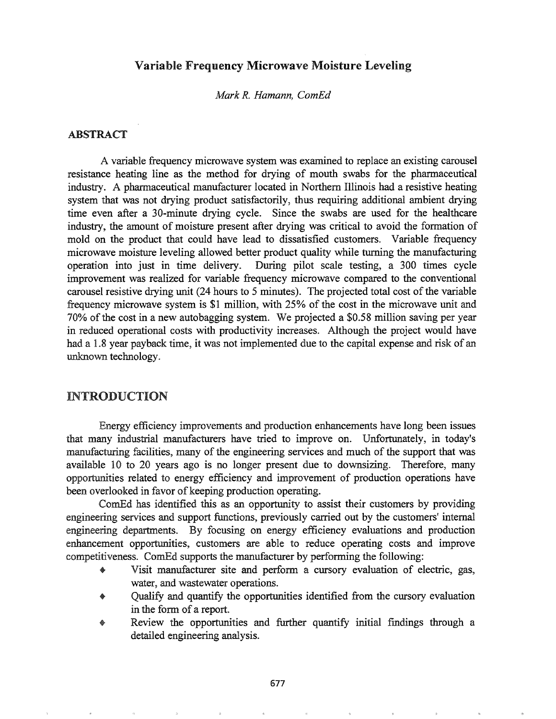### Variable Frequency Microwave Moisture Leveling

*Mark R. Hamann, CornEd*

### ABSTRACT

A variable frequency microwave system was examined to replace an existing carousel resistance heating line as the method for drying of mouth swabs for the pharmaceutical industry. A pharmaceutical manufacturer located in Northern Illinois had a resistive heating system that was not drying product satisfactorily, thus requiring additional ambient drying time even after a 30-minute drying cycle. Since the swabs are used for the healthcare industry, the amount of moisture present after drying was critical to avoid the formation of mold on the product that could have lead to dissatisfied customers. Variable frequency microwave moisture leveling allowed better product quality while turning the manufacturing operation into just in time delivery. During pilot scale testing, a 300 times cycle improvement was realized for variable frequency microwave compared to the conventional carousel resistive drying unit (24 hours to 5 minutes). The projected total cost of the variable frequency microwave system is \$1 million, with 25% of the cost in the microwave unit and 70% of the cost in a new autobagging system. We projected a \$0.58 million saving per year in reduced operational costs with productivity increases. Although the project would have had a 1.8 year payback time, it was not implemented due to the capital expense and risk of an unknown technology.

### **INTRODUCTION**

Energy efficiency improvements and production enhancements have long been issues that many industrial manufacturers have tried to improve on. Unfortunately, in today's manufacturing facilities, many of the engineering services and much of the support that was available 10 to 20 years ago is no longer present due to downsizing. Therefore, many opportunities related to energy efficiency and improvement of production operations have been overlooked in favor of keeping production operating.

ComEd has identified this as an opportunity to assist their customers by providing engineering services and support functions, previously carried out by the customers' internal engineering departments. By focusing on energy efficiency evaluations and production enhancement opportunities, customers are able to reduce operating costs and improve competitiveness. ComEd supports the manufacturer by performing the following:

- Visit manufacturer site and perform a cursory evaluation of electric, gas, water, and wastewater operations.
- Qualify and quantify the opportunities identified from the cursory evaluation in the form of a report.
- Review the opportunities and further quantify initial fmdings through a detailed engineering analysis..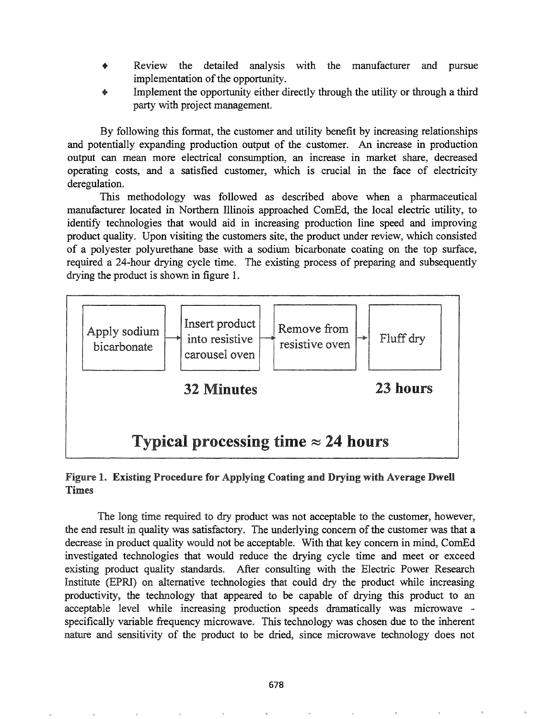- Review the detailed analysis with the manufacturer and pursue implementation of the opportunity.
- Implement the opportunity either directly through the utility or through a third party with project management.

By following this format, the customer and utility benefit by increasing relationships and potentially expanding production output of the customer. An increase in production output can mean more electrical consumption, an increase in market share, decreased operating costs, and a satisfied customer, which is crucial in the face of electricity deregulation.

This methodology was followed as described above when a pharmaceutical manufacturer located in Northern Illinois approached CornEd, the local electric utility, to identify technologies that would aid in increasing production line speed and improving product quality. Upon visiting the customers site, the product under review, which consisted of a polyester polyurethane base with a sodium bicarbonate coating on the top surface, required a 24-hour drying cycle time. The existing process of preparing and subsequently drying the product is shown in figure 1.



### Figure 1. Existing Procedure for Applying Coating and Drying with Average Dwell Times

The long time required to dry product was not acceptable to the customer, however, the end result in quality was satisfactory. The underlying concern of the customer was that a decrease in product quality would not be acceptable. With that key concern in mind, ComEd investigated technologies that would reduce the drying cycle time and meet or exceed existing product quality standards. After consulting with the Electric Power Research Institute (EPRI) on alternative technologies that could dry the product while increasing productivity, the technology that appeared to be capable of drying this product to an acceptable level while increasing production speeds dramatically was microwave specifically variable frequency microwave. This technology was chosen due to the inherent nature and sensitivity of the product to be dried, since microwave technology does not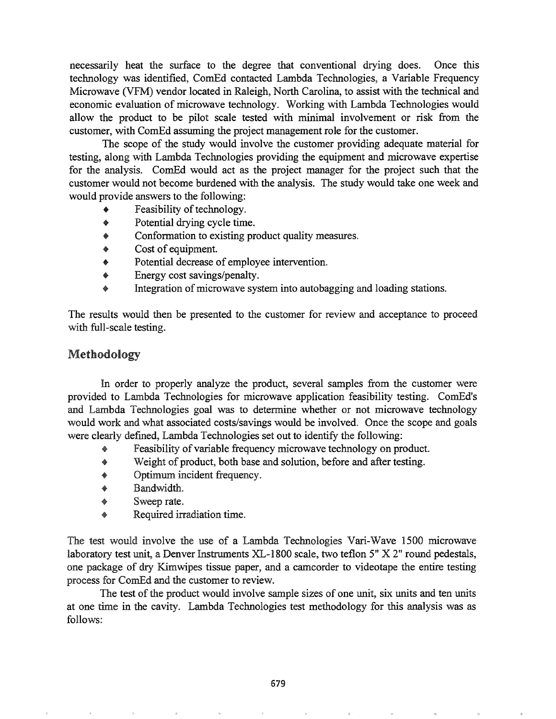necessarily heat the surface to the degree that conventional drying does. Once this technology was identified, ComEd contacted Lambda Technologies, a Variable Frequency Microwave (VFM) vendor located in Raleigh, North Carolina, to assist with the technical and economic evaluation of microwave technology. Working with Lambda Technologies would allow the product to be pilot scale tested with minimal involvement or risk from the customer, with ComEd assuming the project management role for the customer.

The scope of the study would involve the customer providing adequate material for testing, along with Lambda Technologies providing the equipment and microwave expertise for the analysis. ComEd would act as the project manager for the project such that the customer would not become burdened with the analysis. The study would take one week and would provide answers to the following:

- $\bullet$  Feasibility of technology.
- Potential drying cycle time.
- Conformation to existing product quality measures.
- Cost of equipment.
- Potential decrease of employee intervention.
- Energy cost savings/penalty.
- Integration of microwave system into autobagging and loading stations.

The results would then be presented to the customer for review and acceptance to proceed with full-scale testing.

### Methodology

In order to properly analyze the product, several samples from the customer were provided to Lambda Technologies for microwave application feasibility testing. ComEd's and Lambda Technologies goal was to determine whether or not microwave technology would work and what associated costs/savings would be involved. Once the scope and goals were clearly defined, Lambda Technologies set out to identify the following:

- Feasibility of variable frequency microwave technology on product.
- $\bullet$  Weight of product, both base and solution, before and after testing.
- Optimum incident frequency.
- Bandwidth9
- Sweep rate.
- Required irradiation time.

The test would involve the use of a Lambda Technologies Vari-Wave 1500 microwave laboratory test unit, a Denver Instruments XL-1800 scale, two teflon 5" X 2" round pedestals, one package of dry Kimwipes tissue paper, and a camcorder to videotape the entire testing process for ComEd and the customer to review.

The test of the product would involve sample sizes of one unit, six units and ten units at one time in the cavity.. Lambda Technologies test methodology for this analysis was as follows: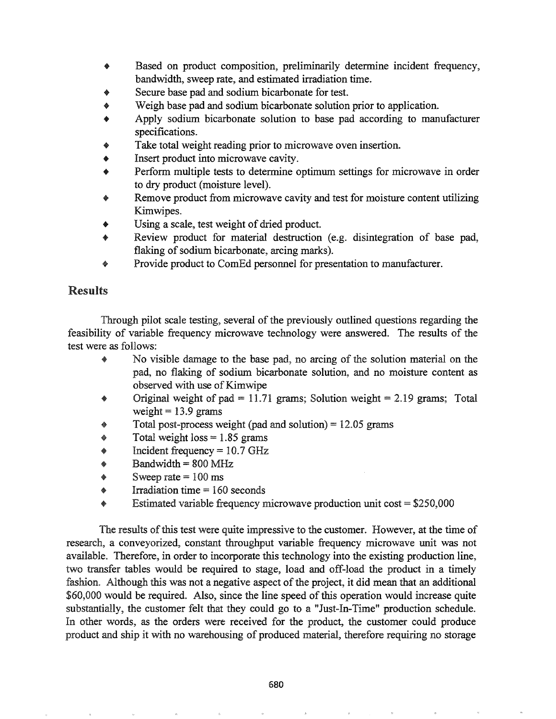- Based on product composition, preliminarily determine incident frequency, bandwidth, sweep rate, and estimated irradiation time.
- Secure base pad and sodium bicarbonate for test.
- Weigh base pad and sodium bicarbonate solution prior to application.
- Apply sodium bicarbonate solution to base pad according to manufacturer specifications.
- Take total weight reading prior to microwave oven insertion.
- Insert product into microwave cavity.
- Perform multiple tests to determine optimum settings for microwave in order to dry product (moisture level).
- Remove product from microwave cavity and test for moisture content utilizing Kimwipes.
- Using a scale, test weight of dried product.
- Review product for material destruction (e.g. disintegration of base pad, flaking of sodium bicarbonate, arcing marks).
- Provide product to ComEd personnel for presentation to manufacturer.

# Results

Through pilot scale testing, several of the previously outlined questions regarding the feasibility of variable frequency microwave technology were answered. The results of the test were as follows:

- No visible damage to the base pad, no arcing of the solution material on the pad, no flaking of sodium bicarbonate solution, and no moisture content as observed with use of Kimwipe
- Original weight of pad = 11.71 grams; Solution weight = 2.19 grams; Total weight  $= 13.9$  grams
- Total post-process weight (pad and solution) =  $12.05$  grams
- Total weight loss  $= 1.85$  grams
- Incident frequency  $= 10.7$  GHz
- $Bandwidth = 800 MHz$
- Sweep rate  $= 100$  ms
- Irradiation time  $= 160$  seconds
- Estimated variable frequency microwave production unit  $cost = $250,000$

The results of this test were quite impressive to the customer. However, at the time of research, a conveyorized, constant throughput variable frequency microwave unit was not available. Therefore, in order to incorporate this technology into the existing production line, two transfer tables would be required to stage, load and off-load the product in a timely fashion. Although this was not a negative aspect of the project, it did mean that an additional \$60,000 would be required. Also, since the line speed of this operation would increase quite substantially, the customer felt that they could go to a "Just-In-Time" production schedule. In other words, as the orders were received for the product, the customer could produce product and ship it with no warehousing of produced material, therefore requiring no storage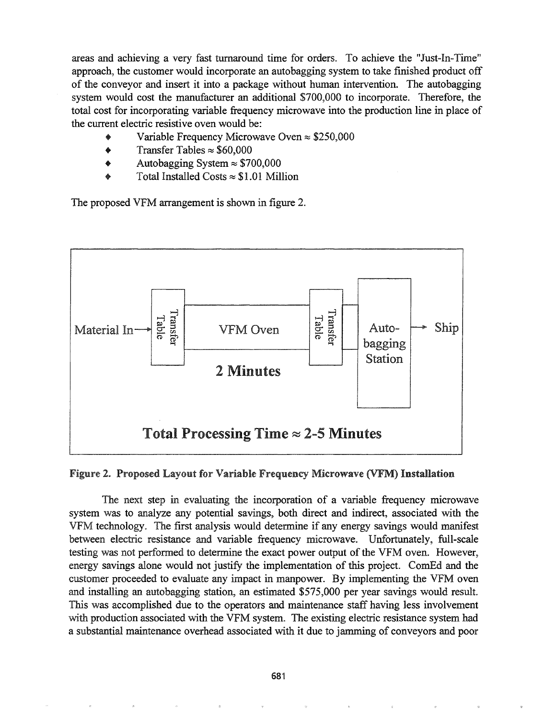areas and achieving a very fast turnaround time for orders. To achieve the "Just-In-Time" approach, the customer would incorporate an autobagging system to take finished product off of the conveyor and insert it into a package without human intervention. The autobagging system would cost the manufacturer an additional \$700,000 to incorporate. Therefore, the total cost for incorporating variable frequency microwave into the production line in place of the current electric resistive oven would be:

- Variable Frequency Microwave Oven  $\approx$  \$250,000
- Transfer Tables  $\approx$  \$60,000
- Autobagging System  $\approx$  \$700,000
- Total Installed Costs  $\approx$  \$1.01 Million

The proposed VFM arrangement is shown in figure 2.



#### Figure 2. Proposed Layout for Variable Frequency Microwave (VFM) Installation

The next step in evaluating the incorporation of a variable frequency microwave system was to analyze any potential savings, both direct and indirect, associated with the VFM technology. The first analysis would detennine if any energy savings would manifest between electric resistance and variable frequency microwave. Unfortunately, full-scale testing was not performed to determine the exact power output of the VFM oven. However, energy savings alone would not justify the implementation of this project. ComEd and the customer proceeded to evaluate any impact in manpower. By implementing the VFM oven and installing an autobagging station, an estimated \$575,000 per year savings would result. This was accomplished due to the operators and maintenance staff having less involvement with production associated with the VFM system. The existing electric resistance system had a substantial maintenance overhead associated with it due to jamming of conveyors and poor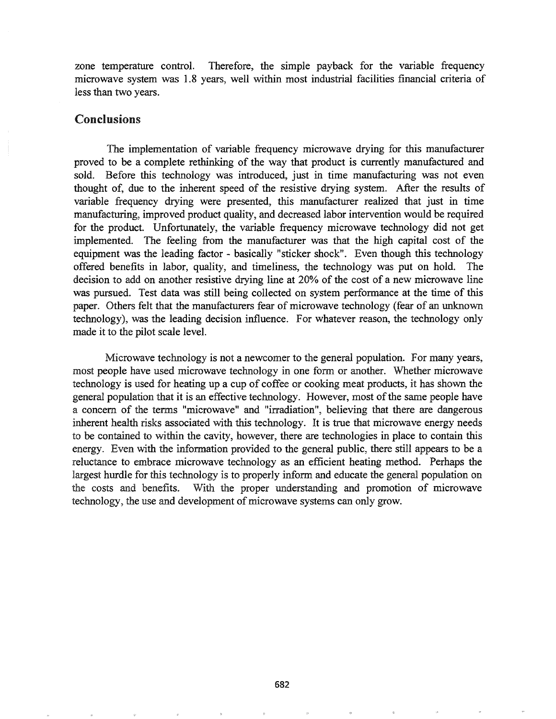zone temperature control. Therefore, the simple payback for the variable frequency microwave system was 1.8 years, well within most industrial facilities financial criteria of less than two years.

#### Conclusions

The implementation of variable frequency microwave drying for this manufacturer proved to be a complete rethinking of the way that product is currently manufactured and sold. Before this technology was introduced, just in time manufacturing was not even thought of, due to the inherent speed of the resistive drying system. After the results of variable frequency drying were presented, this manufacturer realized that just in time manufacturing, improved product quality, and decreased labor intervention would be required for the product. Unfortunately, the variable frequency microwave technology did not get implemented. The feeling from the manufacturer was that the high capital cost of the equipment was the leading factor - basically "sticker shock". Even though this technology offered benefits in labor, quality, and timeliness, the technology was put on hold. The decision to add on another resistive drying line at 20% of the cost of a new microwave line was pursued. Test data was still being collected on system performance at the time of this paper. Others felt that the manufacturers fear of microwave technology (fear of an unknown technology), was the leading decision influence. For whatever reason, the technology only made it to the pilot scale level.

Microwave technology is not a newcomer to the general population. For many years, most people have used microwave technology in one form or another. Whether microwave technology is used for heating up a cup of coffee or cooking meat products, it has shown the general population that it is an effective technology. However, most ofthe same people have a concern of the terms "microwave" and "irradiation", believing that there are dangerous inherent health risks associated with this technology. It is true that microwave energy needs to be contained to within the cavity, however, there are technologies in place to contain this energy. Even with the information provided to the general public, there still appears to be a reluctance to embrace microwave technology as an efficient heating method. Perhaps the largest hurdle for this technology is to properly inform and educate the general population on the costs and benefits. With the proper understanding and promotion of microwave technology, the use and development of microwave systems can only grow.